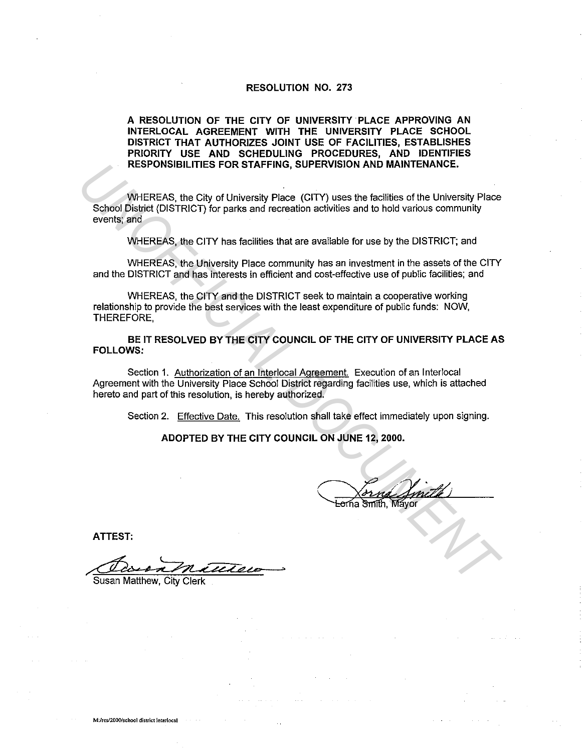#### **RESOLUTION NO. 273**

#### **A RESOLUTION OF THE CITY OF UNIVERSITY PLACE APPROVING AN INTERLOCAL AGREEMENT WITH THE UNIVERSITY PLACE SCHOOL DISTRICT THAT AUTHORIZES JOINT USE OF FACILITIES, ESTABLISHES PRIORITY USE AND SCHEDULING PROCEDURES, AND IDENTIFIES RESPONSIBILITIES FOR STAFFING, SUPERVISION AND MAINTENANCE.**

WHEREAS, the City of University Place (CITY) uses the facilities of the University Place School District (DISTRICT) for parks and recreation activities and to hold various community events; and **RESPONSIBILITIES FOR STAFFING, SUPERVISION AND MAINTENANCE.**<br>
WHEREAS, the City of University Place CITY) uses the facilities of the University Place<br>
School District (DISTRICT) for parks and recreation activities and to

WHEREAS, the CITY has facilities that are available for use by the DISTRICT; and

WHEREAS, the University Place community has an investment in the assets of the CITY and the DISTRICT and has interests in efficient and cost-effective use of public facilities; and

WHEREAS, the CITY and the DISTRICT seek to maintain a cooperative working relationship to provide the best services with the least expenditure of public funds: NOW, THEREFORE,

**BE IT RESOLVED BY THE CITY COUNCIL OF THE CITY OF UNIVERSITY PLACE AS FOLLOWS:** 

Section 1. Authorization of an lnterlocal Agreement. Execution of an lnterlocal Agreement with the University Place School District regarding facilities use, which is attached hereto and part of this resolution, is hereby authorized.

Section 2. Effective Date. This resolution shall take effect immediately upon signing.

**ADOPTED BY THE CITY COUNCIL ON JUNE 12, 2000.** 

**ATTEST:** 

Dain Matthew >

Susan Matthew, City Clerk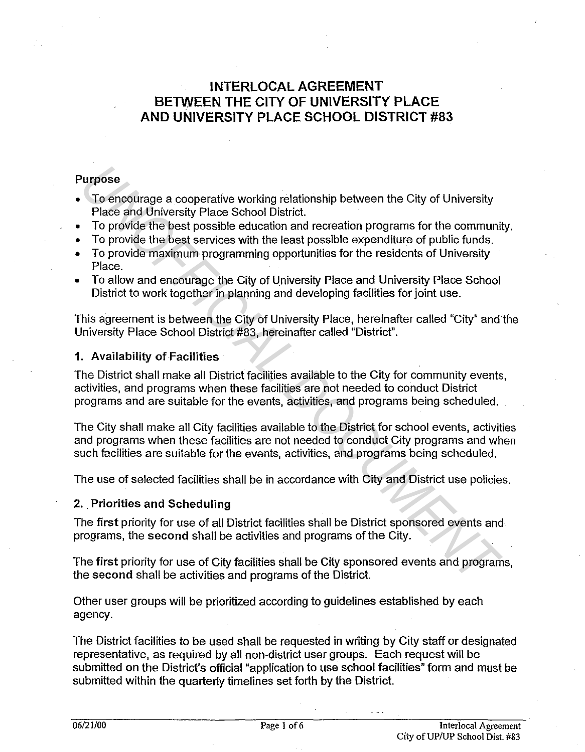# INTERLOCAL AGREEMENT BETWEEN THE CITY OF UNIVERSITY PLACE AND UNIVERSITY PLACE SCHOOL DISTRICT #83

## Purpose

- To encourage a cooperative working relationship between the City of University Place and University Place School District.
- To provide the best possible education and recreation programs for the community.
- To provide the best services with the least possible expenditure of public funds.
- To provide maximum programming opportunities for the residents of University Place.
- To allow and encourage the City of University Place and University Place School District to work together in planning and developing facilities for joint use.

This agreement is between the City of University Place, hereinafter called "City" and the University Place School District #83, hereinafter called "District".

#### 1. Availability of Facilities:

The District shall make all District facilities available to the City for community events, activities, and programs when these facilities are not needed to conduct District programs and are suitable for the events, activities, and programs being scheduled. **To encourage a cooperative working relationship between the City of University Place and University Place Scholo Bistrict.<br>** *To provide the best possible education and recreation programs for the communit To provide the b* 

The City shall make all City facilities available to the District for school events, activities and programs when these facilities are not needed to conduct City programs and when such facilities are suitable for the events, activities, and programs being scheduled.

The use of selected facilities shall be in accordance with City and District use policies.

#### 2. Priorities and Scheduling

The first priority for use of all District facilities shall be District sponsored events and programs, the second shall be activities and programs of the City.

The first priority for use of City facilities shall be City sponsored events and programs, the second shall be activities and programs of the District.

Other user groups will be prioritized according to guidelines established by each agency.

The District facilities to be used shall be requested in writing by City staff or designated representative, as required by all non-district user groups. Each request will be submitted on the District's official "application to use school facilities" form and must be submitted within the quarterly timelines set forth by the District.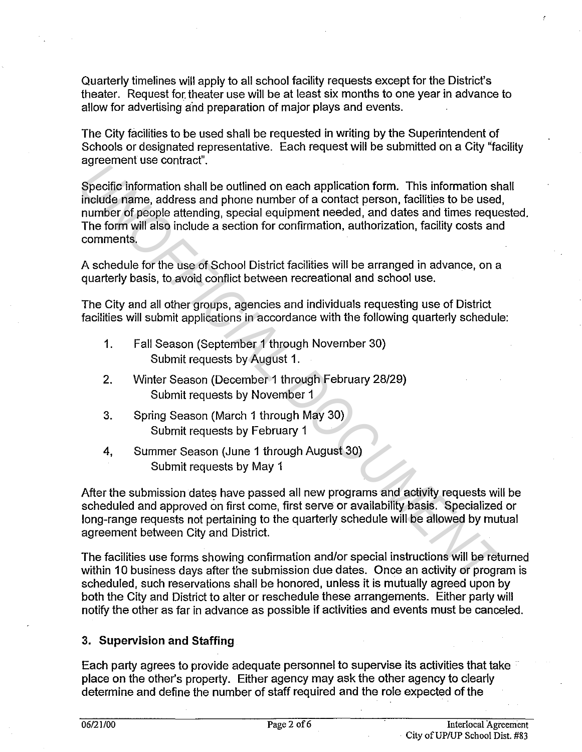Quarterly timelines will apply to all school facility requests except for the District's theater. Request for. theater use will be at least six months to one year in advance to allow for advertising and preparation of major plays and events.

The City facilities to be used shall be requested in writing by the Superintendent of Schools or designated representative. Each request will be submitted on a City "facility agreement use contract".

Specific information shall be outlined on each application form. This information shall include name, address and phone number of a contact person, facilities to be used, number of people attending, special equipment needed, and dates and times requested. The form will also include a section for confirmation, authorization, facility costs and comments. **Expection and Solution** shall be outlined on each application form. This information shincleds rame, address and phone number of a contact person, facilities to be used number of people attending, special equipment needed

A schedule for the use of School District facilities will be arranged in advance, on a quarterly basis, to avoid conflict between recreational and school use.

The City and all other groups, agencies and individuals requesting use of District facilities will submit applications in accordance with the following quarterly schedule:

- 1. Fall Season (September 1 through November 30) Submit requests by August 1.
- 2. Winter Season (December 1 through February 28/29) Submit requests by November 1
- 3. Spring Season (March 1 through May 30) Submit requests by February 1
- 4, Summer Season (June 1 through August 30) Submit requests by May 1

After the submission dates have passed all new programs and activity requests will be scheduled and approved on first come, first serve or availability basis. Specialized or long-range requests not pertaining to the quarterly schedule will be allowed by mutual agreement between City and District.

The facilities use forms showing confirmation and/or special instructions will be returned within 10 business days after the submission due dates. Once an activity or program is scheduled, such reservations shall be honored, unless it is mutually agreed upon by both the City and District to alter or reschedule these arrangements. Either party will notify the other as far in advance as possible if activities and events must be canceled.

## **3. Supervision and Staffing**

Each party agrees to provide adequate personnel to supervise its activities that take place on the other's property. Either agency may ask the other agency to clearly determine and define the number of staff required and the role expected of the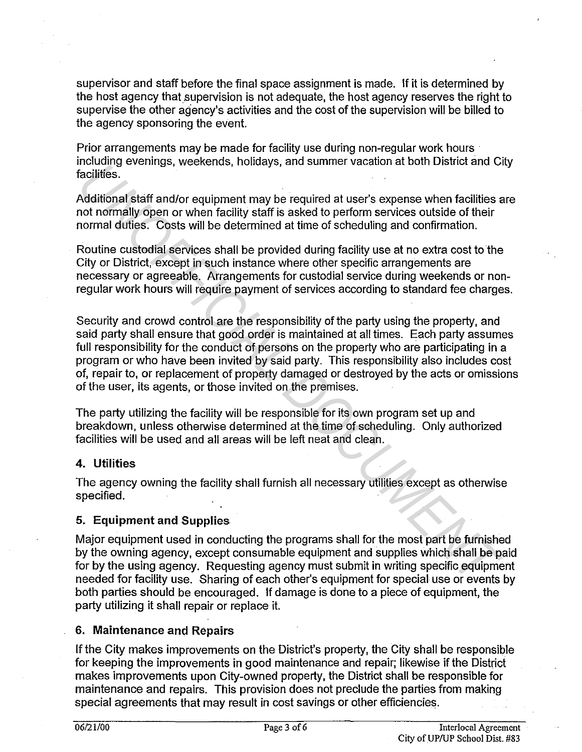supervisor and staff before the final space assignment is made. If it is determined by the host agency that supervision is not adequate, the host agency reserves the right to supervise the other agency's activities and the cost of the supervision will be billed to the agency sponsoring the event.

Prior arrangements may be made for facility use during non-regular work hours · including evenings, weekends, holidays, and summer vacation at both District and City facilities.

Additional staff and/or equipment may be required at user's expense when facilities are not normally open or when facility staff is asked to perform services outside of their normal duties. Costs will be determined at time of scheduling and confirmation.

Routine custodial services shall be provided during facility use at no extra cost to the City or District, except in such instance where other specific arrangements are necessary or agreeable. Arrangements for custodial service during weekends or nonregular work hours will require payment of services according to standard fee charges.

Security and crowd control are the responsibility of the party using the property, and said party shall ensure that good order is maintained at all times. Each party assumes full responsibility for the conduct of persons on the property who are participating in a program or who have been invited by said party. This responsibility also includes cost of, repair to, or replacement of property damaged or destroyed by the acts or omissions of the user, its agents, or those invited on the premises. maturing eventures, weekentus, holidays, and staining vacadion at dom bistinct and constant<br>Additional staff and/or equipment may be required at user's expense when facilities.<br>Additional staff and/or equipment may be requ

The party utilizing the facility will be responsible for its own program set up and breakdown, unless otherwise determined at the time of scheduling. Only authorized facilities will be used and all areas will be left neat and clean.

### **4. Utilities**

The agency owning the facility shall furnish all necessary utilities except as otherwise specified.

## **5. Equipment and Supplies**

Major equipment used in conducting the programs shall for the most part be furnished by the owning agency, except consumable equipment and supplies which shall be paid for by the using agency. Requesting agency must submit in writing specific equipment needed for facility use. Sharing of each other's equipment for special use or events by both parties should be encouraged. If damage is done to a piece of equipment, the party utilizing it shall repair or replace it.

### **6. Maintenance and Repairs**

If the City makes improvements on the District's property, the City shall be responsible for keeping the improvements in good maintenance and repair; likewise if the District makes improvements upon City-owned property, the District shall be responsible for maintenance and repairs. This provision does not preclude the parties from making special agreements that may result in cost savings or other efficiencies.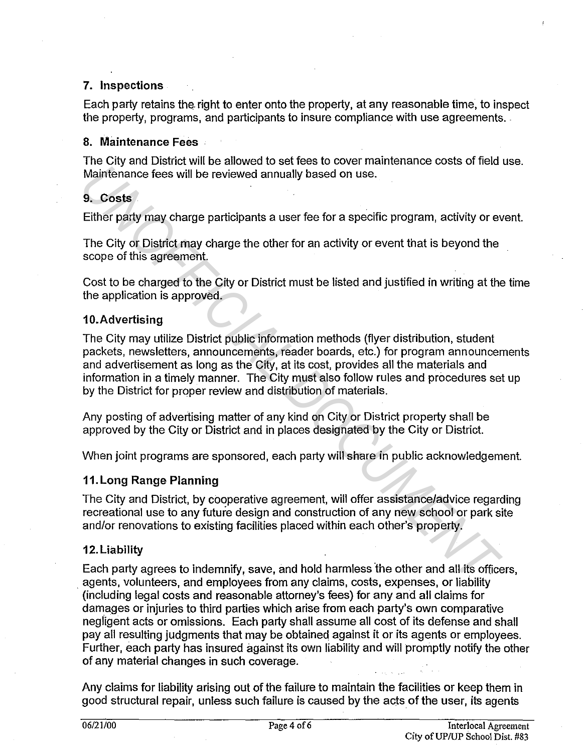#### 7. Inspections

Each party retains the right to enter onto the property, at any reasonable time, to inspect the property, programs, and participants to insure compliance with use agreements.

#### 8. Maintenance Fees

The City and District will be allowed to set fees to cover maintenance costs of field use. Maintenance fees will be reviewed annually based on use.

#### 9. Costs.

Either party may charge participants a user fee for a specific program, activity or event.

The City or District may charge the other for an activity or event that is beyond the scope of this agreement.

Cost to be charged to the City or District must be listed and justified in writing at the time the application is approved.

#### 10.Advertising

The City may utilize District public information methods (flyer distribution, student packets, newsletters, announcements, reader boards, etc.) for program announcements and advertisement as long as the City, at its cost, provides all the materials and information in a timely manner. The City must also follow rules and procedures set up by the District for proper review and distribution of materials. *Underlyine State State State State State State State State State State State State State State State State State State State State State State State State State State State State State State State State State State State* 

Any posting of advertising matter of any kind on City or District property shall be approved by the City or District and in places designated by the City or District.

When joint programs are sponsored, each party will share in public acknowledgement.

#### 11. Long Range Planning

The City and District, by cooperative agreement, will offer assistance/advice regarding recreational use to any future design and construction of any new school or park site and/or renovations to existing facilities placed within each other's property.

#### 12. Liability

Each party agrees to indemnify, save, and hold harmless the other and all its officers, . agents, volunteers, and employees from any claims, costs, expenses, or liability (including legal costs and reasonable attorney's fees) for any and all claims for damages or injuries to third parties which arise from each party's own comparative negligent acts or omissions. Each party shall assume all cost of its defense and shall pay all resulting judgments that may be obtained against it or its agents or employees. Further, each party has insured against its own liability and will promptly notify the other of any material changes in such coverage.

Any claims for liability arising out of the failure to maintain the facilities or keep them in good structural repair, unless such failure is caused by the acts of the user, its agents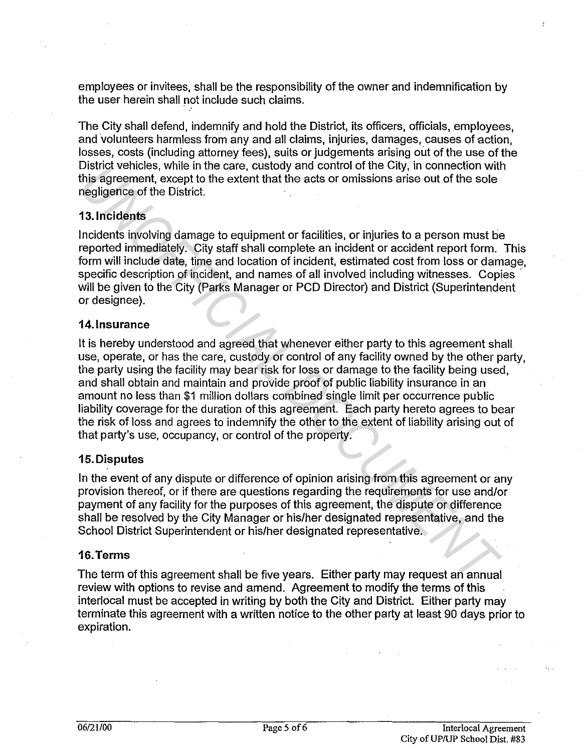employees or invitees, shall be the responsibility of the owner and indemnification by the user herein shall not include such claims.

The City shall defend, indemnify and hold the District, its officers, officials, employees, and volunteers harmless from any and all claims, injuries, damages, causes of action, losses, costs (including attorney fees), suits or judgements arising out of the use of the District vehicles, while in the care, custody and control of the City, in connection with this agreement, except to the extent that the acts or omissions arise out of the sole negligence of the District.

#### **13. Incidents**

Incidents involving damage to equipment or facilities, or injuries to a person must be reported immediately. City staff shall complete an incident or accident report form. This form will include date, time and location of incident, estimated cost from loss or damage, specific description of incident, and names of all involved including witnesses. Copies will be given to the City (Parks Manager or PCD Director) and District (Superintendent or designee).

#### **14. Insurance**

It is hereby understood and agreed that whenever either party to this agreement shall. use, operate, or has the care, custody or control of any facility owned by the other party, the party using the facility may bear risk for loss or damage to the facility being used, and shall obtain and maintain and provide proof of public liability insurance in an amount no less than \$1 million dollars combined single limit per occurrence public liability coverage for the duration of this agreement. Each party hereto agrees to bear the risk of loss and agrees to indemnify the other to the extent of liability arising out of that party's use, occupancy, or control of the property. Unstrict Venicless, while in the care, custody and control or the Gity, in connection with<br>this agreement, except to the extent that the acts or omissions arise out of the sole<br>This agreement, except to the extent that the

#### **15. Disputes**

In the event of any dispute or difference of opinion arising from this agreement or any provision thereof, or if there are questions regarding the requirements for use and/or payment of any facility for the purposes of this agreement, the dispute or difference shall be resolved by the City Manager or his/her designated representative, and the School District Superintendent or his/her designated representative.

#### **16.Terms**

The term of this agreement shall be five years. Either party may request an annual review with options to revise and amend. Agreement to modify the terms of this interlocal must be accepted in writing by both the City and District. Either party may terminate this agreement with a written notice to the other party at least 90 days prior to expiration.